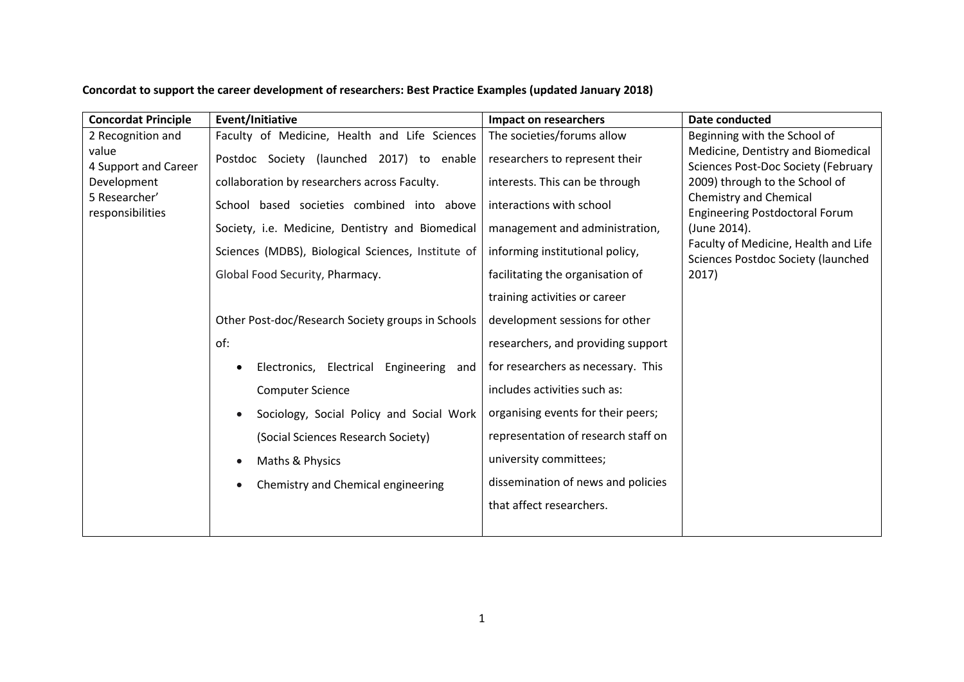## **Concordat to support the career development of researchers: Best Practice Examples (updated January 2018)**

| <b>Concordat Principle</b>        | Event/Initiative                                   | <b>Impact on researchers</b>        | Date conducted                                                             |
|-----------------------------------|----------------------------------------------------|-------------------------------------|----------------------------------------------------------------------------|
| 2 Recognition and                 | Faculty of Medicine, Health and Life Sciences      | The societies/forums allow          | Beginning with the School of                                               |
| value<br>4 Support and Career     | Postdoc Society (launched 2017) to enable          | researchers to represent their      | Medicine, Dentistry and Biomedical<br>Sciences Post-Doc Society (February  |
| Development                       | collaboration by researchers across Faculty.       | interests. This can be through      | 2009) through to the School of                                             |
| 5 Researcher'<br>responsibilities | School based societies combined into above         | interactions with school            | Chemistry and Chemical<br><b>Engineering Postdoctoral Forum</b>            |
|                                   | Society, i.e. Medicine, Dentistry and Biomedical   | management and administration,      | (June 2014).                                                               |
|                                   | Sciences (MDBS), Biological Sciences, Institute of | informing institutional policy,     | Faculty of Medicine, Health and Life<br>Sciences Postdoc Society (launched |
|                                   | Global Food Security, Pharmacy.                    | facilitating the organisation of    | 2017)                                                                      |
|                                   |                                                    | training activities or career       |                                                                            |
|                                   | Other Post-doc/Research Society groups in Schools  | development sessions for other      |                                                                            |
|                                   | of:                                                | researchers, and providing support  |                                                                            |
|                                   | Electronics, Electrical Engineering and            | for researchers as necessary. This  |                                                                            |
|                                   | <b>Computer Science</b>                            | includes activities such as:        |                                                                            |
|                                   | Sociology, Social Policy and Social Work           | organising events for their peers;  |                                                                            |
|                                   | (Social Sciences Research Society)                 | representation of research staff on |                                                                            |
|                                   | Maths & Physics                                    | university committees;              |                                                                            |
|                                   | Chemistry and Chemical engineering                 | dissemination of news and policies  |                                                                            |
|                                   |                                                    | that affect researchers.            |                                                                            |
|                                   |                                                    |                                     |                                                                            |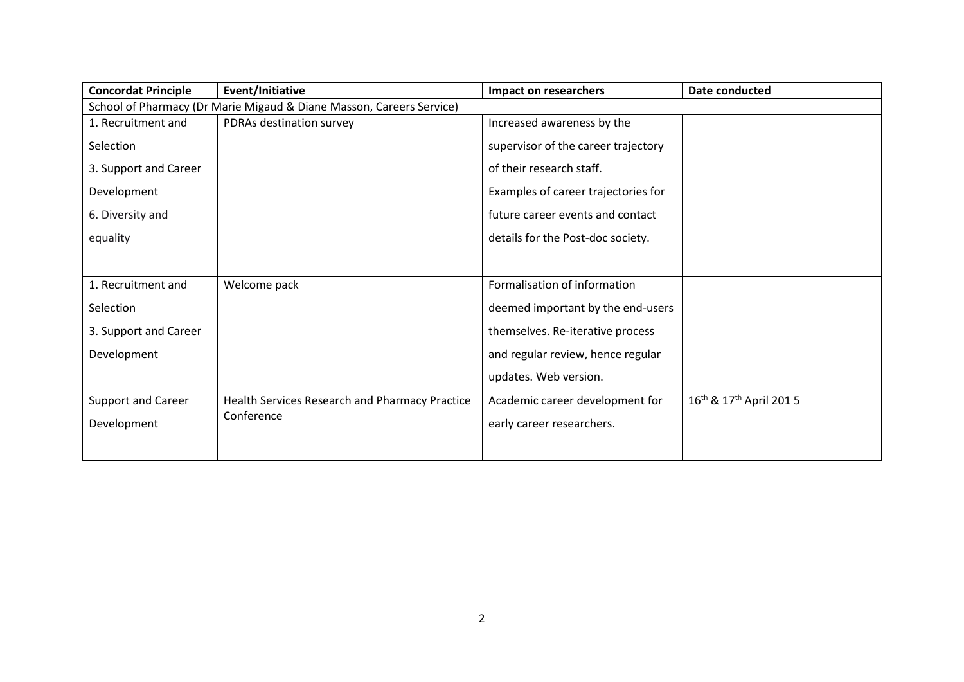| <b>Concordat Principle</b> | Event/Initiative                                                     | Impact on researchers               | Date conducted                                 |  |  |
|----------------------------|----------------------------------------------------------------------|-------------------------------------|------------------------------------------------|--|--|
|                            | School of Pharmacy (Dr Marie Migaud & Diane Masson, Careers Service) |                                     |                                                |  |  |
| 1. Recruitment and         | PDRAs destination survey                                             | Increased awareness by the          |                                                |  |  |
| Selection                  |                                                                      | supervisor of the career trajectory |                                                |  |  |
| 3. Support and Career      |                                                                      | of their research staff.            |                                                |  |  |
| Development                |                                                                      | Examples of career trajectories for |                                                |  |  |
| 6. Diversity and           |                                                                      | future career events and contact    |                                                |  |  |
| equality                   |                                                                      | details for the Post-doc society.   |                                                |  |  |
|                            |                                                                      |                                     |                                                |  |  |
| 1. Recruitment and         | Welcome pack                                                         | Formalisation of information        |                                                |  |  |
| Selection                  |                                                                      | deemed important by the end-users   |                                                |  |  |
| 3. Support and Career      |                                                                      | themselves. Re-iterative process    |                                                |  |  |
| Development                |                                                                      | and regular review, hence regular   |                                                |  |  |
|                            |                                                                      | updates. Web version.               |                                                |  |  |
| <b>Support and Career</b>  | Health Services Research and Pharmacy Practice                       | Academic career development for     | 16 <sup>th</sup> & 17 <sup>th</sup> April 2015 |  |  |
| Development                | Conference                                                           | early career researchers.           |                                                |  |  |
|                            |                                                                      |                                     |                                                |  |  |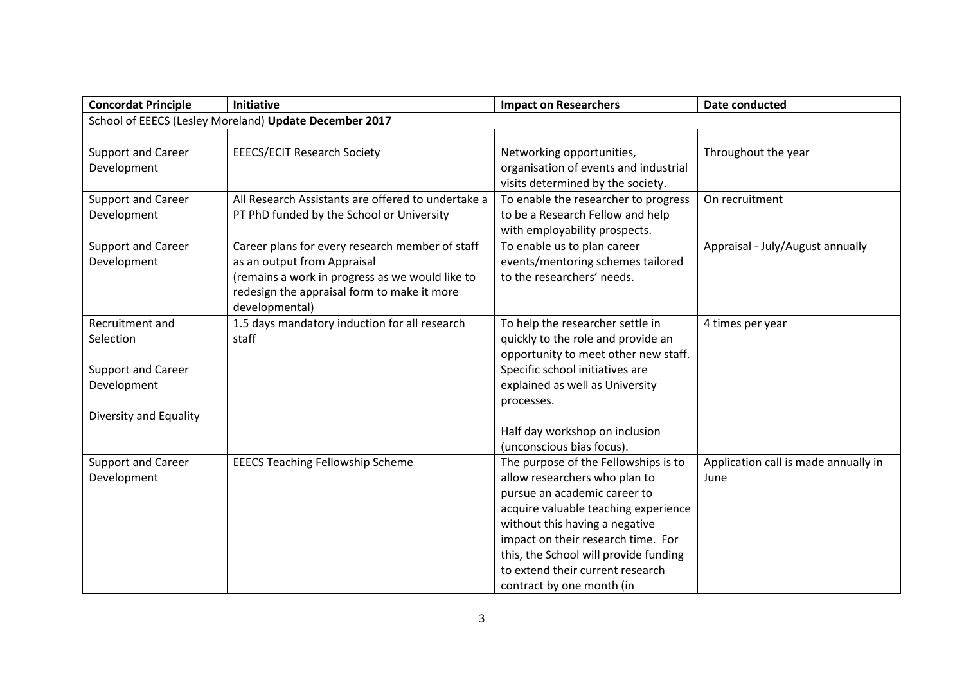| <b>Concordat Principle</b> | <b>Initiative</b>                                      | <b>Impact on Researchers</b>          | <b>Date conducted</b>                |
|----------------------------|--------------------------------------------------------|---------------------------------------|--------------------------------------|
|                            | School of EEECS (Lesley Moreland) Update December 2017 |                                       |                                      |
|                            |                                                        |                                       |                                      |
| Support and Career         | <b>EEECS/ECIT Research Society</b>                     | Networking opportunities,             | Throughout the year                  |
| Development                |                                                        | organisation of events and industrial |                                      |
|                            |                                                        | visits determined by the society.     |                                      |
| Support and Career         | All Research Assistants are offered to undertake a     | To enable the researcher to progress  | On recruitment                       |
| Development                | PT PhD funded by the School or University              | to be a Research Fellow and help      |                                      |
|                            |                                                        | with employability prospects.         |                                      |
| <b>Support and Career</b>  | Career plans for every research member of staff        | To enable us to plan career           | Appraisal - July/August annually     |
| Development                | as an output from Appraisal                            | events/mentoring schemes tailored     |                                      |
|                            | (remains a work in progress as we would like to        | to the researchers' needs.            |                                      |
|                            | redesign the appraisal form to make it more            |                                       |                                      |
|                            | developmental)                                         |                                       |                                      |
| Recruitment and            | 1.5 days mandatory induction for all research          | To help the researcher settle in      | 4 times per year                     |
| Selection                  | staff                                                  | quickly to the role and provide an    |                                      |
|                            |                                                        | opportunity to meet other new staff.  |                                      |
| Support and Career         |                                                        | Specific school initiatives are       |                                      |
| Development                |                                                        | explained as well as University       |                                      |
|                            |                                                        | processes.                            |                                      |
| Diversity and Equality     |                                                        |                                       |                                      |
|                            |                                                        | Half day workshop on inclusion        |                                      |
|                            |                                                        | (unconscious bias focus).             |                                      |
| Support and Career         | <b>EEECS Teaching Fellowship Scheme</b>                | The purpose of the Fellowships is to  | Application call is made annually in |
| Development                |                                                        | allow researchers who plan to         | June                                 |
|                            |                                                        | pursue an academic career to          |                                      |
|                            |                                                        | acquire valuable teaching experience  |                                      |
|                            |                                                        | without this having a negative        |                                      |
|                            |                                                        | impact on their research time. For    |                                      |
|                            |                                                        | this, the School will provide funding |                                      |
|                            |                                                        | to extend their current research      |                                      |
|                            |                                                        | contract by one month (in             |                                      |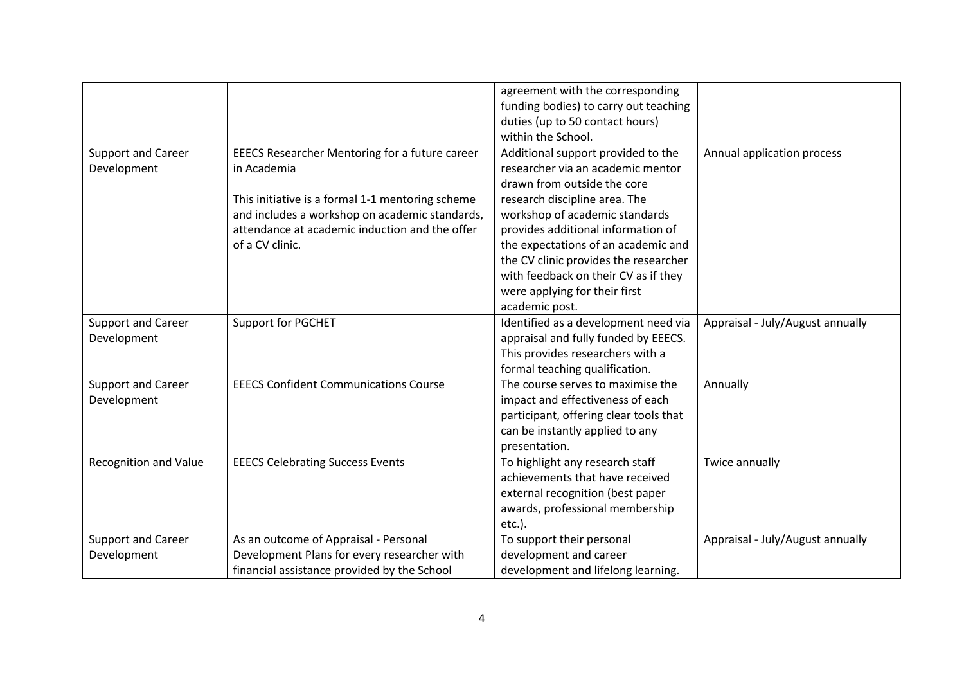|                              |                                                  | agreement with the corresponding       |                                  |
|------------------------------|--------------------------------------------------|----------------------------------------|----------------------------------|
|                              |                                                  | funding bodies) to carry out teaching  |                                  |
|                              |                                                  | duties (up to 50 contact hours)        |                                  |
|                              |                                                  | within the School.                     |                                  |
| Support and Career           | EEECS Researcher Mentoring for a future career   | Additional support provided to the     | Annual application process       |
| Development                  | in Academia                                      | researcher via an academic mentor      |                                  |
|                              |                                                  | drawn from outside the core            |                                  |
|                              | This initiative is a formal 1-1 mentoring scheme | research discipline area. The          |                                  |
|                              | and includes a workshop on academic standards,   | workshop of academic standards         |                                  |
|                              | attendance at academic induction and the offer   | provides additional information of     |                                  |
|                              | of a CV clinic.                                  | the expectations of an academic and    |                                  |
|                              |                                                  | the CV clinic provides the researcher  |                                  |
|                              |                                                  | with feedback on their CV as if they   |                                  |
|                              |                                                  | were applying for their first          |                                  |
|                              |                                                  | academic post.                         |                                  |
| Support and Career           | Support for PGCHET                               | Identified as a development need via   | Appraisal - July/August annually |
| Development                  |                                                  | appraisal and fully funded by EEECS.   |                                  |
|                              |                                                  | This provides researchers with a       |                                  |
|                              |                                                  | formal teaching qualification.         |                                  |
| Support and Career           | <b>EEECS Confident Communications Course</b>     | The course serves to maximise the      | Annually                         |
| Development                  |                                                  | impact and effectiveness of each       |                                  |
|                              |                                                  | participant, offering clear tools that |                                  |
|                              |                                                  | can be instantly applied to any        |                                  |
|                              |                                                  | presentation.                          |                                  |
| <b>Recognition and Value</b> | <b>EEECS Celebrating Success Events</b>          | To highlight any research staff        | Twice annually                   |
|                              |                                                  | achievements that have received        |                                  |
|                              |                                                  | external recognition (best paper       |                                  |
|                              |                                                  | awards, professional membership        |                                  |
|                              |                                                  | etc.).                                 |                                  |
| Support and Career           | As an outcome of Appraisal - Personal            | To support their personal              | Appraisal - July/August annually |
| Development                  | Development Plans for every researcher with      | development and career                 |                                  |
|                              | financial assistance provided by the School      | development and lifelong learning.     |                                  |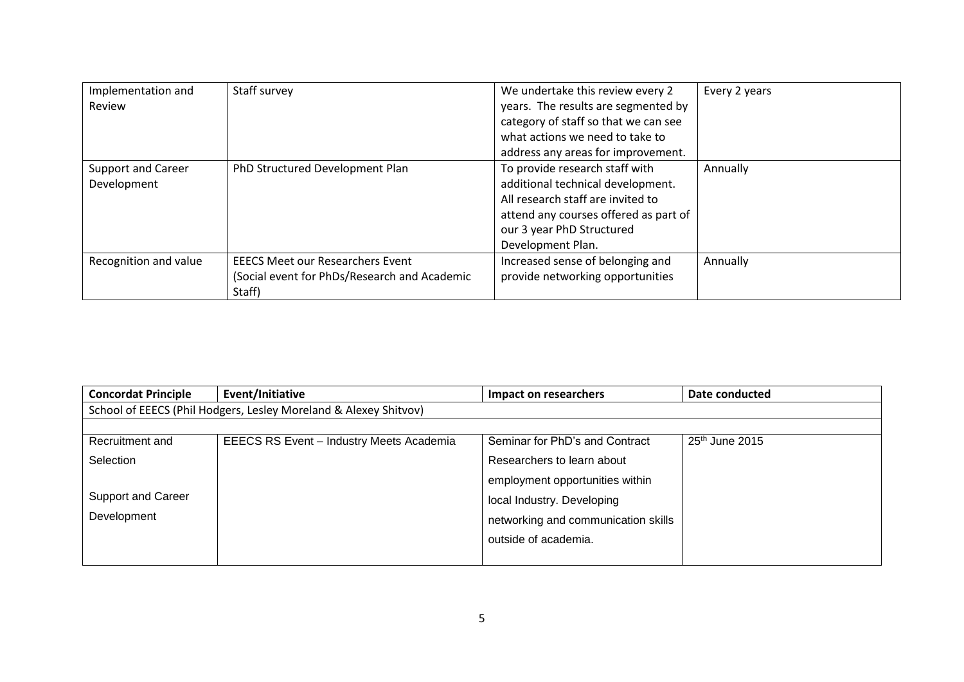| Implementation and<br>Review      | Staff survey                                                                                      | We undertake this review every 2<br>years. The results are segmented by<br>category of staff so that we can see<br>what actions we need to take to<br>address any areas for improvement.            | Every 2 years |
|-----------------------------------|---------------------------------------------------------------------------------------------------|-----------------------------------------------------------------------------------------------------------------------------------------------------------------------------------------------------|---------------|
| Support and Career<br>Development | PhD Structured Development Plan                                                                   | To provide research staff with<br>additional technical development.<br>All research staff are invited to<br>attend any courses offered as part of<br>our 3 year PhD Structured<br>Development Plan. | Annually      |
| Recognition and value             | <b>EEECS Meet our Researchers Event</b><br>(Social event for PhDs/Research and Academic<br>Staff) | Increased sense of belonging and<br>provide networking opportunities                                                                                                                                | Annually      |

| <b>Concordat Principle</b> | Event/Initiative                                                 | Impact on researchers               | Date conducted             |
|----------------------------|------------------------------------------------------------------|-------------------------------------|----------------------------|
|                            | School of EEECS (Phil Hodgers, Lesley Moreland & Alexey Shitvov) |                                     |                            |
|                            |                                                                  |                                     |                            |
| Recruitment and            | EEECS RS Event - Industry Meets Academia                         | Seminar for PhD's and Contract      | 25 <sup>th</sup> June 2015 |
| Selection                  |                                                                  | Researchers to learn about          |                            |
|                            |                                                                  | employment opportunities within     |                            |
| Support and Career         |                                                                  | local Industry. Developing          |                            |
| Development                |                                                                  | networking and communication skills |                            |
|                            |                                                                  | outside of academia.                |                            |
|                            |                                                                  |                                     |                            |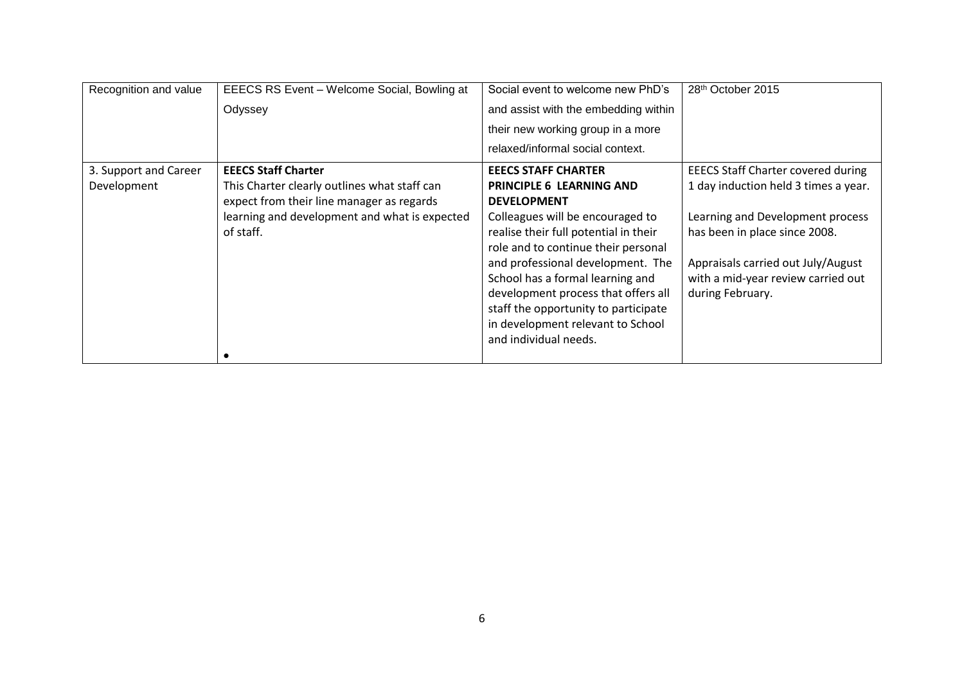| Recognition and value | EEECS RS Event - Welcome Social, Bowling at   | Social event to welcome new PhD's     | 28th October 2015                         |
|-----------------------|-----------------------------------------------|---------------------------------------|-------------------------------------------|
|                       | Odyssey                                       | and assist with the embedding within  |                                           |
|                       |                                               | their new working group in a more     |                                           |
|                       |                                               | relaxed/informal social context.      |                                           |
| 3. Support and Career | <b>EEECS Staff Charter</b>                    | <b>EEECS STAFF CHARTER</b>            | <b>EEECS Staff Charter covered during</b> |
| Development           | This Charter clearly outlines what staff can  | <b>PRINCIPLE 6 LEARNING AND</b>       | 1 day induction held 3 times a year.      |
|                       | expect from their line manager as regards     | <b>DEVELOPMENT</b>                    |                                           |
|                       | learning and development and what is expected | Colleagues will be encouraged to      | Learning and Development process          |
|                       | of staff.                                     | realise their full potential in their | has been in place since 2008.             |
|                       |                                               | role and to continue their personal   |                                           |
|                       |                                               | and professional development. The     | Appraisals carried out July/August        |
|                       |                                               | School has a formal learning and      | with a mid-year review carried out        |
|                       |                                               | development process that offers all   | during February.                          |
|                       |                                               | staff the opportunity to participate  |                                           |
|                       |                                               | in development relevant to School     |                                           |
|                       |                                               | and individual needs.                 |                                           |
|                       |                                               |                                       |                                           |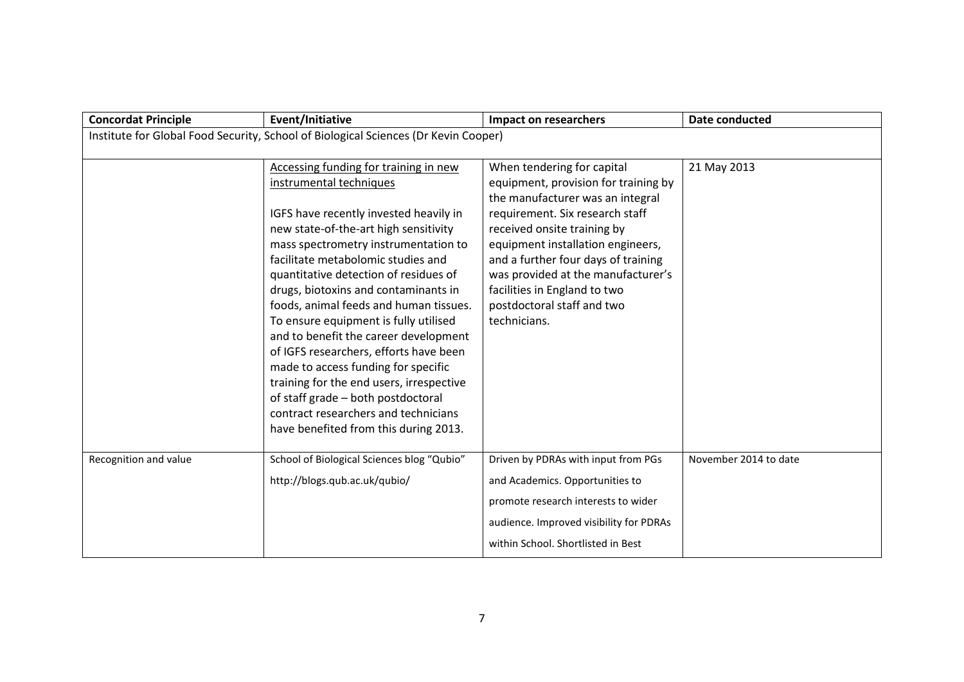| <b>Concordat Principle</b>                                                          | <b>Event/Initiative</b>                                                                                                                                                                                                                                                                                                                                                                                                                                                                                                                                                                                                                                                                            | <b>Impact on researchers</b>                                                                                                                                                                                                                                                                                                                                             | <b>Date conducted</b> |  |  |
|-------------------------------------------------------------------------------------|----------------------------------------------------------------------------------------------------------------------------------------------------------------------------------------------------------------------------------------------------------------------------------------------------------------------------------------------------------------------------------------------------------------------------------------------------------------------------------------------------------------------------------------------------------------------------------------------------------------------------------------------------------------------------------------------------|--------------------------------------------------------------------------------------------------------------------------------------------------------------------------------------------------------------------------------------------------------------------------------------------------------------------------------------------------------------------------|-----------------------|--|--|
| Institute for Global Food Security, School of Biological Sciences (Dr Kevin Cooper) |                                                                                                                                                                                                                                                                                                                                                                                                                                                                                                                                                                                                                                                                                                    |                                                                                                                                                                                                                                                                                                                                                                          |                       |  |  |
|                                                                                     | Accessing funding for training in new<br>instrumental techniques<br>IGFS have recently invested heavily in<br>new state-of-the-art high sensitivity<br>mass spectrometry instrumentation to<br>facilitate metabolomic studies and<br>quantitative detection of residues of<br>drugs, biotoxins and contaminants in<br>foods, animal feeds and human tissues.<br>To ensure equipment is fully utilised<br>and to benefit the career development<br>of IGFS researchers, efforts have been<br>made to access funding for specific<br>training for the end users, irrespective<br>of staff grade - both postdoctoral<br>contract researchers and technicians<br>have benefited from this during 2013. | When tendering for capital<br>equipment, provision for training by<br>the manufacturer was an integral<br>requirement. Six research staff<br>received onsite training by<br>equipment installation engineers,<br>and a further four days of training<br>was provided at the manufacturer's<br>facilities in England to two<br>postdoctoral staff and two<br>technicians. | 21 May 2013           |  |  |
| Recognition and value                                                               | School of Biological Sciences blog "Qubio"<br>http://blogs.qub.ac.uk/qubio/                                                                                                                                                                                                                                                                                                                                                                                                                                                                                                                                                                                                                        | Driven by PDRAs with input from PGs<br>and Academics. Opportunities to<br>promote research interests to wider<br>audience. Improved visibility for PDRAs<br>within School. Shortlisted in Best                                                                                                                                                                           | November 2014 to date |  |  |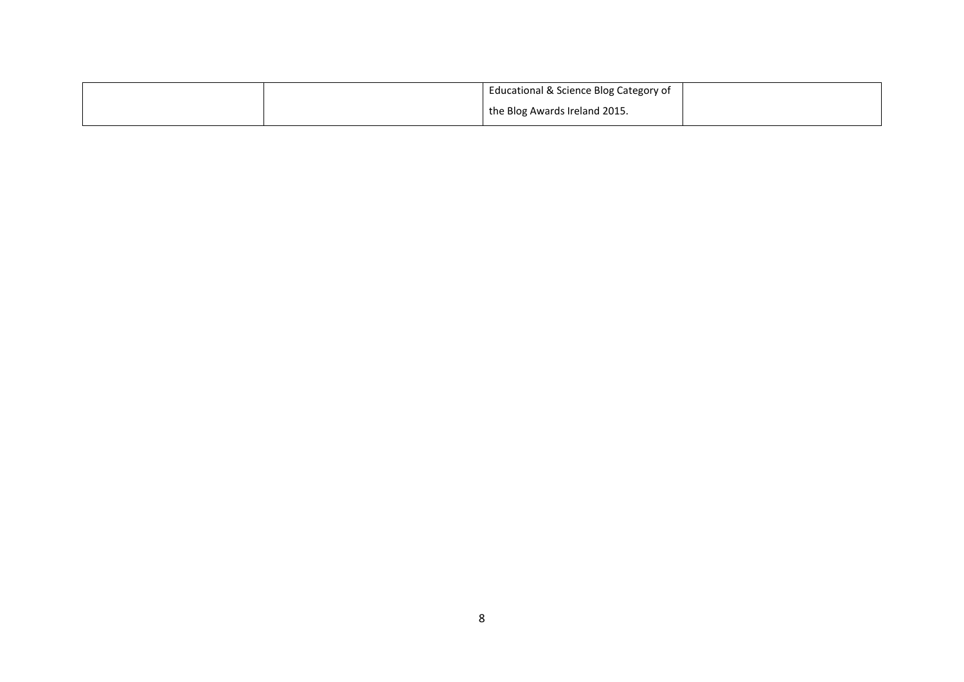|  | Educational & Science Blog Category of |  |
|--|----------------------------------------|--|
|  | the Blog Awards Ireland 2015.          |  |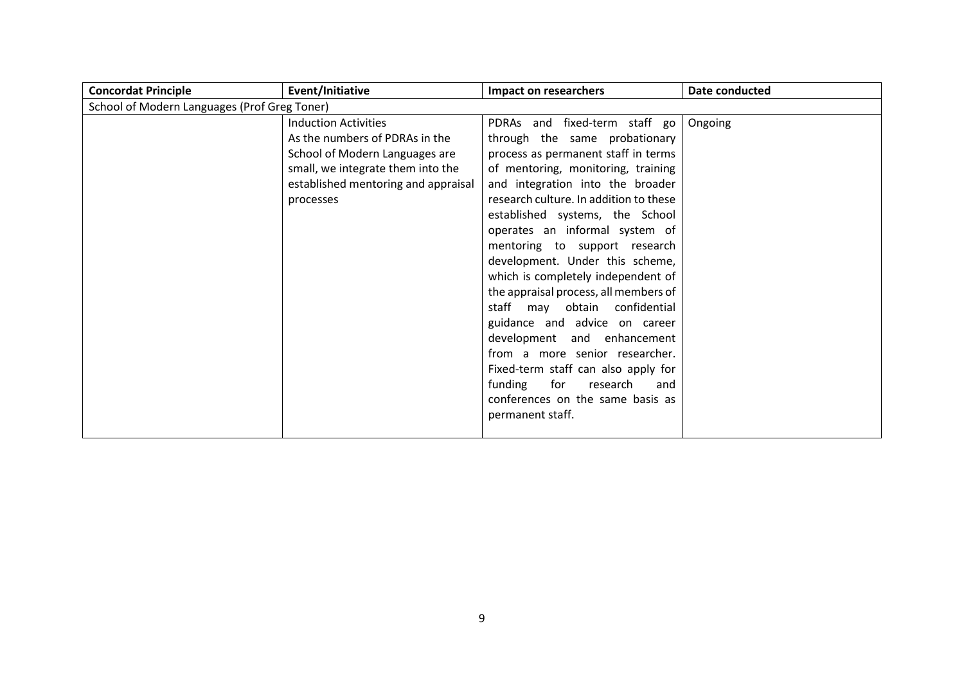| <b>Concordat Principle</b> | Event/Initiative                             | Impact on researchers                  | Date conducted |  |  |
|----------------------------|----------------------------------------------|----------------------------------------|----------------|--|--|
|                            | School of Modern Languages (Prof Greg Toner) |                                        |                |  |  |
|                            | <b>Induction Activities</b>                  | PDRAs and fixed-term staff go          | Ongoing        |  |  |
|                            | As the numbers of PDRAs in the               | through the same probationary          |                |  |  |
|                            | School of Modern Languages are               | process as permanent staff in terms    |                |  |  |
|                            | small, we integrate them into the            | of mentoring, monitoring, training     |                |  |  |
|                            | established mentoring and appraisal          | and integration into the broader       |                |  |  |
|                            | processes                                    | research culture. In addition to these |                |  |  |
|                            |                                              | established systems, the School        |                |  |  |
|                            |                                              | operates an informal system of         |                |  |  |
|                            |                                              | mentoring to support research          |                |  |  |
|                            |                                              | development. Under this scheme,        |                |  |  |
|                            |                                              | which is completely independent of     |                |  |  |
|                            |                                              | the appraisal process, all members of  |                |  |  |
|                            |                                              | staff may obtain confidential          |                |  |  |
|                            |                                              | guidance and advice on career          |                |  |  |
|                            |                                              | development and enhancement            |                |  |  |
|                            |                                              | from a more senior researcher.         |                |  |  |
|                            |                                              | Fixed-term staff can also apply for    |                |  |  |
|                            |                                              | funding<br>for<br>research<br>and      |                |  |  |
|                            |                                              | conferences on the same basis as       |                |  |  |
|                            |                                              | permanent staff.                       |                |  |  |
|                            |                                              |                                        |                |  |  |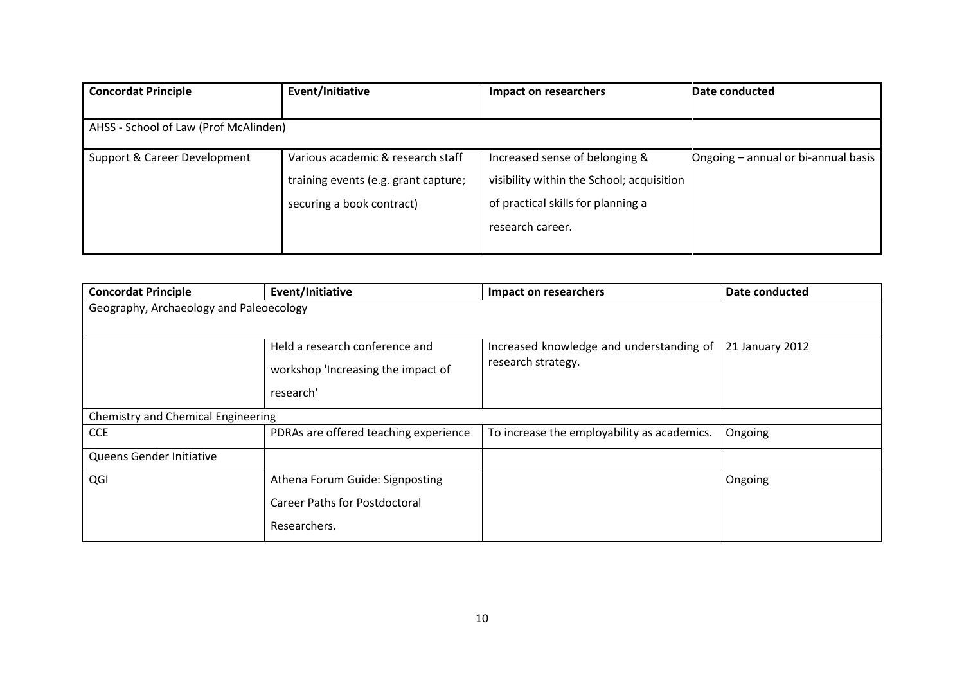| <b>Concordat Principle</b>            | Event/Initiative                     | Impact on researchers                     | Date conducted                      |
|---------------------------------------|--------------------------------------|-------------------------------------------|-------------------------------------|
|                                       |                                      |                                           |                                     |
| AHSS - School of Law (Prof McAlinden) |                                      |                                           |                                     |
|                                       |                                      |                                           |                                     |
| Support & Career Development          | Various academic & research staff    | Increased sense of belonging &            | Ongoing - annual or bi-annual basis |
|                                       | training events (e.g. grant capture; | visibility within the School; acquisition |                                     |
|                                       | securing a book contract)            | of practical skills for planning a        |                                     |
|                                       |                                      | research career.                          |                                     |
|                                       |                                      |                                           |                                     |

| <b>Concordat Principle</b>              | Event/Initiative                      | Impact on researchers                       | Date conducted  |
|-----------------------------------------|---------------------------------------|---------------------------------------------|-----------------|
| Geography, Archaeology and Paleoecology |                                       |                                             |                 |
|                                         |                                       |                                             |                 |
|                                         | Held a research conference and        | Increased knowledge and understanding of    | 21 January 2012 |
|                                         | workshop 'Increasing the impact of    | research strategy.                          |                 |
|                                         | research'                             |                                             |                 |
| Chemistry and Chemical Engineering      |                                       |                                             |                 |
| <b>CCE</b>                              | PDRAs are offered teaching experience | To increase the employability as academics. | Ongoing         |
| Queens Gender Initiative                |                                       |                                             |                 |
| QGI                                     | Athena Forum Guide: Signposting       |                                             | Ongoing         |
|                                         | Career Paths for Postdoctoral         |                                             |                 |
|                                         | Researchers.                          |                                             |                 |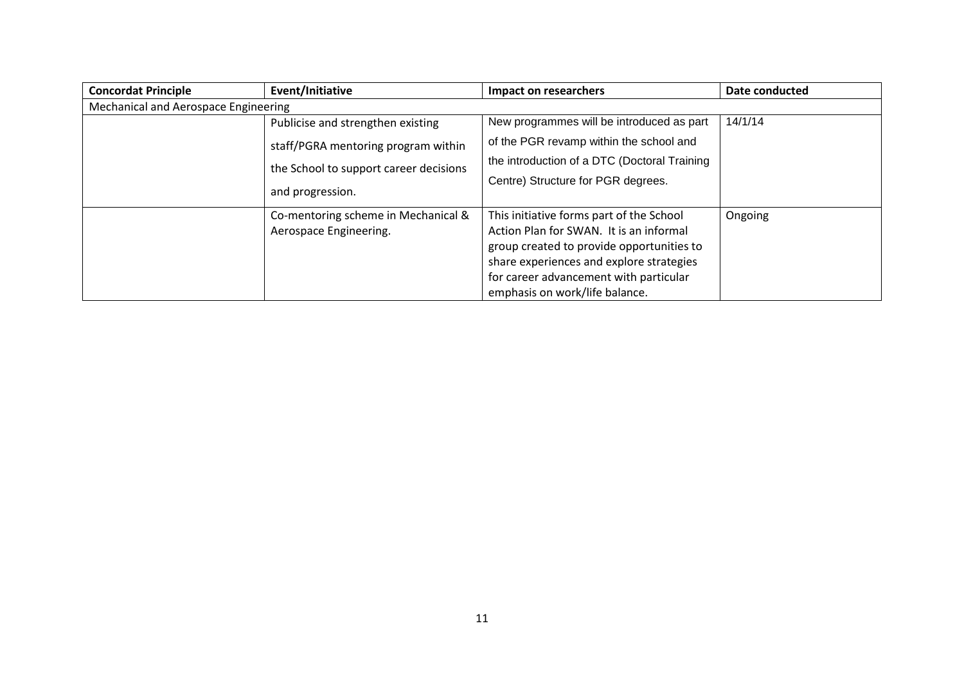| <b>Concordat Principle</b>           | Event/Initiative                                                                                                                       | Impact on researchers                                                                                                                                                                                                                                    | Date conducted |  |  |
|--------------------------------------|----------------------------------------------------------------------------------------------------------------------------------------|----------------------------------------------------------------------------------------------------------------------------------------------------------------------------------------------------------------------------------------------------------|----------------|--|--|
| Mechanical and Aerospace Engineering |                                                                                                                                        |                                                                                                                                                                                                                                                          |                |  |  |
|                                      | Publicise and strengthen existing<br>staff/PGRA mentoring program within<br>the School to support career decisions<br>and progression. | New programmes will be introduced as part<br>of the PGR revamp within the school and<br>the introduction of a DTC (Doctoral Training<br>Centre) Structure for PGR degrees.                                                                               | 14/1/14        |  |  |
|                                      | Co-mentoring scheme in Mechanical &<br>Aerospace Engineering.                                                                          | This initiative forms part of the School<br>Action Plan for SWAN. It is an informal<br>group created to provide opportunities to<br>share experiences and explore strategies<br>for career advancement with particular<br>emphasis on work/life balance. | Ongoing        |  |  |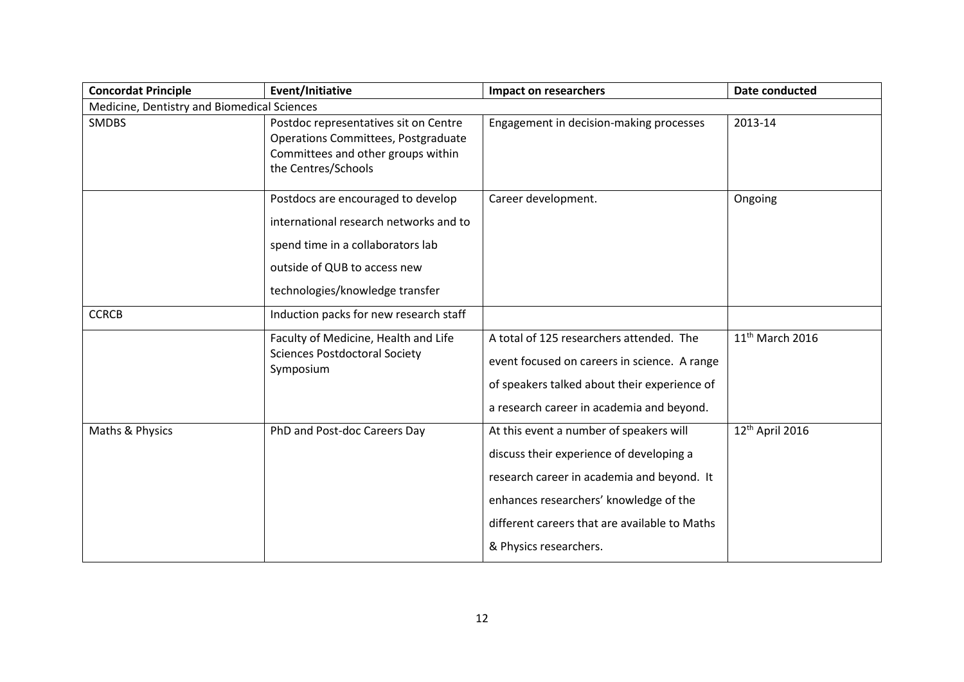| <b>Concordat Principle</b>                  | Event/Initiative                                                                                                                                                                     | Impact on researchers                                                                                                                                                                                                                                  | Date conducted              |
|---------------------------------------------|--------------------------------------------------------------------------------------------------------------------------------------------------------------------------------------|--------------------------------------------------------------------------------------------------------------------------------------------------------------------------------------------------------------------------------------------------------|-----------------------------|
| Medicine, Dentistry and Biomedical Sciences |                                                                                                                                                                                      |                                                                                                                                                                                                                                                        |                             |
| <b>SMDBS</b>                                | Postdoc representatives sit on Centre<br><b>Operations Committees, Postgraduate</b><br>Committees and other groups within<br>the Centres/Schools                                     | Engagement in decision-making processes                                                                                                                                                                                                                | 2013-14                     |
|                                             | Postdocs are encouraged to develop<br>international research networks and to<br>spend time in a collaborators lab<br>outside of QUB to access new<br>technologies/knowledge transfer | Career development.                                                                                                                                                                                                                                    | Ongoing                     |
| <b>CCRCB</b>                                | Induction packs for new research staff                                                                                                                                               |                                                                                                                                                                                                                                                        |                             |
|                                             | Faculty of Medicine, Health and Life<br><b>Sciences Postdoctoral Society</b><br>Symposium                                                                                            | A total of 125 researchers attended. The<br>event focused on careers in science. A range<br>of speakers talked about their experience of<br>a research career in academia and beyond.                                                                  | 11 <sup>th</sup> March 2016 |
| Maths & Physics                             | PhD and Post-doc Careers Day                                                                                                                                                         | At this event a number of speakers will<br>discuss their experience of developing a<br>research career in academia and beyond. It<br>enhances researchers' knowledge of the<br>different careers that are available to Maths<br>& Physics researchers. | 12th April 2016             |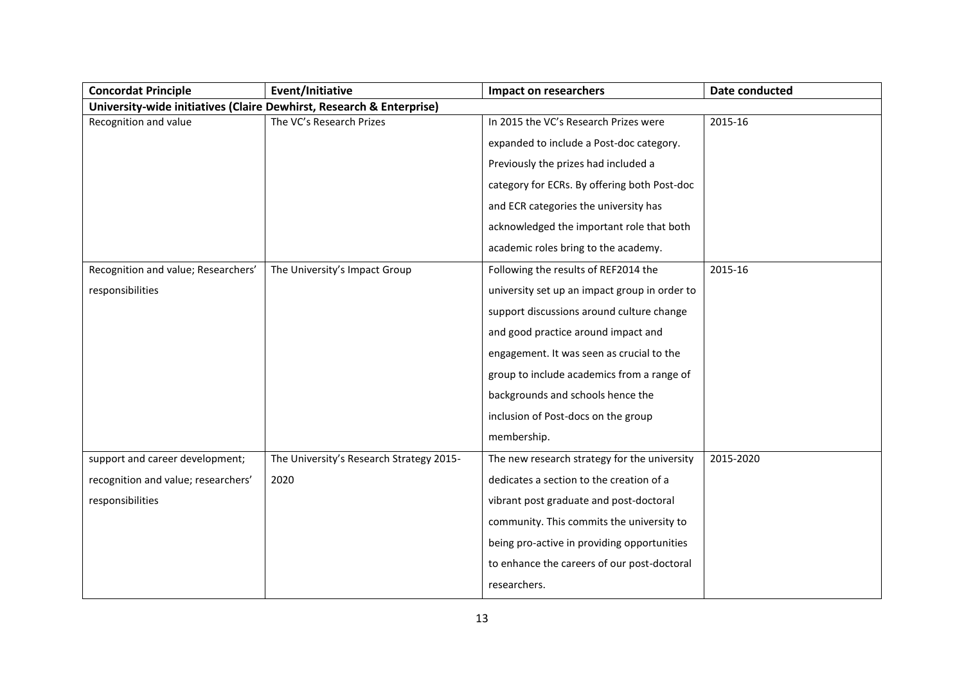| <b>Concordat Principle</b>          | Event/Initiative                                                     | <b>Impact on researchers</b>                  | Date conducted |
|-------------------------------------|----------------------------------------------------------------------|-----------------------------------------------|----------------|
|                                     | University-wide initiatives (Claire Dewhirst, Research & Enterprise) |                                               |                |
| Recognition and value               | The VC's Research Prizes                                             | In 2015 the VC's Research Prizes were         | 2015-16        |
|                                     |                                                                      | expanded to include a Post-doc category.      |                |
|                                     |                                                                      | Previously the prizes had included a          |                |
|                                     |                                                                      | category for ECRs. By offering both Post-doc  |                |
|                                     |                                                                      | and ECR categories the university has         |                |
|                                     |                                                                      | acknowledged the important role that both     |                |
|                                     |                                                                      | academic roles bring to the academy.          |                |
| Recognition and value; Researchers' | The University's Impact Group                                        | Following the results of REF2014 the          | 2015-16        |
| responsibilities                    |                                                                      | university set up an impact group in order to |                |
|                                     |                                                                      | support discussions around culture change     |                |
|                                     |                                                                      | and good practice around impact and           |                |
|                                     |                                                                      | engagement. It was seen as crucial to the     |                |
|                                     |                                                                      | group to include academics from a range of    |                |
|                                     |                                                                      | backgrounds and schools hence the             |                |
|                                     |                                                                      | inclusion of Post-docs on the group           |                |
|                                     |                                                                      | membership.                                   |                |
| support and career development;     | The University's Research Strategy 2015-                             | The new research strategy for the university  | 2015-2020      |
| recognition and value; researchers' | 2020                                                                 | dedicates a section to the creation of a      |                |
| responsibilities                    |                                                                      | vibrant post graduate and post-doctoral       |                |
|                                     |                                                                      | community. This commits the university to     |                |
|                                     |                                                                      | being pro-active in providing opportunities   |                |
|                                     |                                                                      | to enhance the careers of our post-doctoral   |                |
|                                     |                                                                      | researchers.                                  |                |